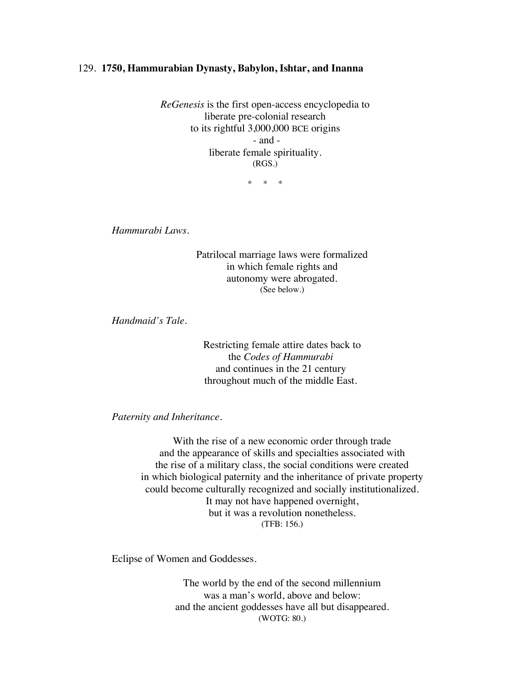## 129. **1750, Hammurabian Dynasty, Babylon, Ishtar, and Inanna**

*ReGenesis* is the first open-access encyclopedia to liberate pre-colonial research to its rightful 3,000,000 BCE origins - and liberate female spirituality. (RGS.)

\* \* \*

*Hammurabi Laws.*

Patrilocal marriage laws were formalized in which female rights and autonomy were abrogated. (See below.)

*Handmaid's Tale.*

Restricting female attire dates back to the *Codes of Hammurabi* and continues in the 21 century throughout much of the middle East.

## *Paternity and Inheritance.*

With the rise of a new economic order through trade and the appearance of skills and specialties associated with the rise of a military class, the social conditions were created in which biological paternity and the inheritance of private property could become culturally recognized and socially institutionalized. It may not have happened overnight, but it was a revolution nonetheless. (TFB: 156.)

Eclipse of Women and Goddesses.

The world by the end of the second millennium was a man's world, above and below: and the ancient goddesses have all but disappeared. (WOTG: 80.)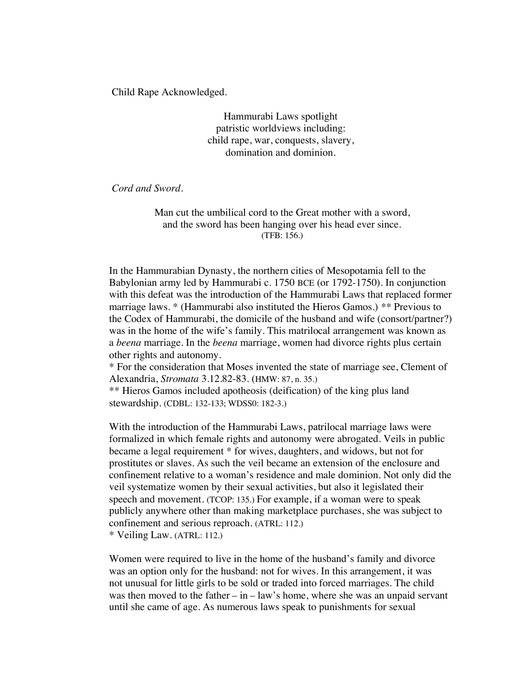Child Rape Acknowledged.

Hammurabi Laws spotlight patristic worldviews including: child rape, war, conquests, slavery, domination and dominion.

*Cord and Sword.*

Man cut the umbilical cord to the Great mother with a sword, and the sword has been hanging over his head ever since. (TFB: 156.)

In the Hammurabian Dynasty, the northern cities of Mesopotamia fell to the Babylonian army led by Hammurabi c. 1750 BCE (or 1792-1750). In conjunction with this defeat was the introduction of the Hammurabi Laws that replaced former marriage laws. \* (Hammurabi also instituted the Hieros Gamos.) *\*\** Previous to the Codex of Hammurabi, the domicile of the husband and wife (consort/partner?) was in the home of the wife's family. This matrilocal arrangement was known as a *beena* marriage. In the *beena* marriage, women had divorce rights plus certain other rights and autonomy.

\* For the consideration that Moses invented the state of marriage see, Clement of Alexandria, *Stromata* 3.12.82-83. (HMW: 87, n. 35.)

\*\* Hieros Gamos included apotheosis (deification) of the king plus land stewardship. (CDBL: 132-133; WDSS0: 182-3.)

With the introduction of the Hammurabi Laws, patrilocal marriage laws were formalized in which female rights and autonomy were abrogated. Veils in public became a legal requirement \* for wives, daughters, and widows, but not for prostitutes or slaves. As such the veil became an extension of the enclosure and confinement relative to a woman's residence and male dominion. Not only did the veil systematize women by their sexual activities, but also it legislated their speech and movement. (TCOP: 135.) For example, if a woman were to speak publicly anywhere other than making marketplace purchases, she was subject to confinement and serious reproach. (ATRL: 112.) \* Veiling Law. (ATRL: 112.)

Women were required to live in the home of the husband's family and divorce was an option only for the husband: not for wives. In this arrangement, it was not unusual for little girls to be sold or traded into forced marriages. The child was then moved to the father – in – law's home, where she was an unpaid servant until she came of age. As numerous laws speak to punishments for sexual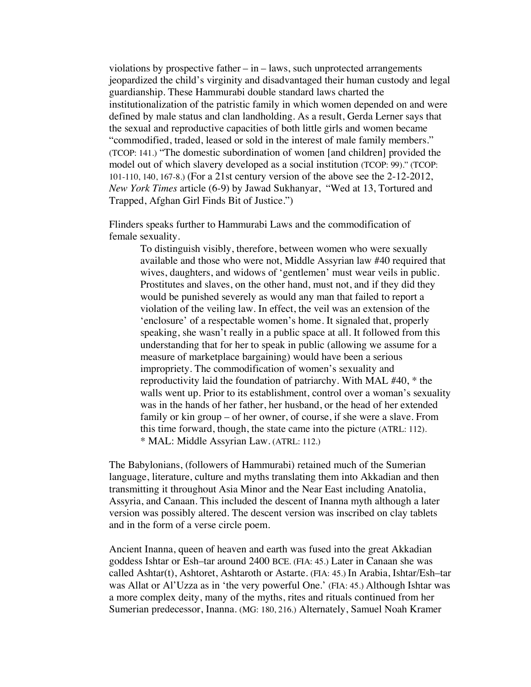violations by prospective father  $-\text{in}-\text{laws}$ , such unprotected arrangements jeopardized the child's virginity and disadvantaged their human custody and legal guardianship. These Hammurabi double standard laws charted the institutionalization of the patristic family in which women depended on and were defined by male status and clan landholding. As a result, Gerda Lerner says that the sexual and reproductive capacities of both little girls and women became "commodified, traded, leased or sold in the interest of male family members." (TCOP: 141.) "The domestic subordination of women [and children] provided the model out of which slavery developed as a social institution (TCOP: 99)." (TCOP: 101-110, 140, 167-8.) (For a 21st century version of the above see the 2-12-2012, *New York Times* article (6-9) by Jawad Sukhanyar, "Wed at 13, Tortured and Trapped, Afghan Girl Finds Bit of Justice.")

Flinders speaks further to Hammurabi Laws and the commodification of female sexuality.

> To distinguish visibly, therefore, between women who were sexually available and those who were not, Middle Assyrian law #40 required that wives, daughters, and widows of 'gentlemen' must wear veils in public. Prostitutes and slaves, on the other hand, must not, and if they did they would be punished severely as would any man that failed to report a violation of the veiling law. In effect, the veil was an extension of the 'enclosure' of a respectable women's home. It signaled that, properly speaking, she wasn't really in a public space at all. It followed from this understanding that for her to speak in public (allowing we assume for a measure of marketplace bargaining) would have been a serious impropriety. The commodification of women's sexuality and reproductivity laid the foundation of patriarchy. With MAL #40, \* the walls went up. Prior to its establishment, control over a woman's sexuality was in the hands of her father, her husband, or the head of her extended family or kin group – of her owner, of course, if she were a slave. From this time forward, though, the state came into the picture (ATRL: 112). \* MAL: Middle Assyrian Law. (ATRL: 112.)

The Babylonians, (followers of Hammurabi) retained much of the Sumerian language, literature, culture and myths translating them into Akkadian and then transmitting it throughout Asia Minor and the Near East including Anatolia, Assyria, and Canaan. This included the descent of Inanna myth although a later version was possibly altered. The descent version was inscribed on clay tablets and in the form of a verse circle poem.

Ancient Inanna, queen of heaven and earth was fused into the great Akkadian goddess Ishtar or Esh–tar around 2400 BCE. (FIA: 45.) Later in Canaan she was called Ashtar(t), Ashtoret, Ashtaroth or Astarte. (FIA: 45.) In Arabia, Ishtar/Esh–tar was Allat or Al'Uzza as in 'the very powerful One.' (FIA: 45.) Although Ishtar was a more complex deity, many of the myths, rites and rituals continued from her Sumerian predecessor, Inanna. (MG: 180, 216.) Alternately, Samuel Noah Kramer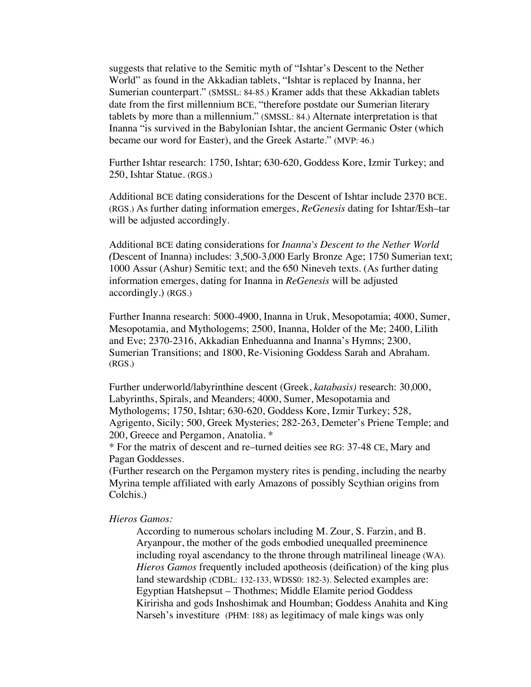suggests that relative to the Semitic myth of "Ishtar's Descent to the Nether World" as found in the Akkadian tablets, "Ishtar is replaced by Inanna, her Sumerian counterpart." (SMSSL: 84-85.) Kramer adds that these Akkadian tablets date from the first millennium BCE, "therefore postdate our Sumerian literary tablets by more than a millennium." (SMSSL: 84.) Alternate interpretation is that Inanna "is survived in the Babylonian Ishtar, the ancient Germanic Oster (which became our word for Easter), and the Greek Astarte." (MVP: 46.)

Further Ishtar research: 1750, Ishtar; 630-620, Goddess Kore, Izmir Turkey; and 250, Ishtar Statue. (RGS.)

Additional BCE dating considerations for the Descent of Ishtar include 2370 BCE. (RGS.) As further dating information emerges, *ReGenesis* dating for Ishtar/Esh–tar will be adjusted accordingly.

Additional BCE dating considerations for *Inanna's Descent to the Nether World (*Descent of Inanna) includes: 3,500-3,000 Early Bronze Age; 1750 Sumerian text; 1000 Assur (Ashur) Semitic text; and the 650 Nineveh texts. (As further dating information emerges, dating for Inanna in *ReGenesis* will be adjusted accordingly.) (RGS.)

Further Inanna research: 5000-4900, Inanna in Uruk, Mesopotamia; 4000, Sumer, Mesopotamia, and Mythologems; 2500, Inanna, Holder of the Me; 2400, Lilith and Eve; 2370-2316, Akkadian Enheduanna and Inanna's Hymns; 2300, Sumerian Transitions; and 1800, Re-Visioning Goddess Sarah and Abraham. (RGS.)

Further underworld/labyrinthine descent (Greek, *katabasis)* research: 30,000, Labyrinths, Spirals, and Meanders; 4000, Sumer, Mesopotamia and Mythologems; 1750, Ishtar; 630-620, Goddess Kore, Izmir Turkey; 528, Agrigento, Sicily; 500, Greek Mysteries; 282-263, Demeter's Priene Temple; and 200, Greece and Pergamon, Anatolia. \*

\* For the matrix of descent and re–turned deities see RG: 37-48 CE, Mary and Pagan Goddesses.

(Further research on the Pergamon mystery rites is pending, including the nearby Myrina temple affiliated with early Amazons of possibly Scythian origins from Colchis.)

## *Hieros Gamos:*

According to numerous scholars including M. Zour, S. Farzin, and B. Aryanpour, the mother of the gods embodied unequalled preeminence including royal ascendancy to the throne through matrilineal lineage (WA). *Hieros Gamos* frequently included apotheosis (deification) of the king plus land stewardship (CDBL: 132-133, WDSS0: 182-3). Selected examples are: Egyptian Hatshepsut – Thothmes; Middle Elamite period Goddess Kiririsha and gods Inshoshimak and Houmban; Goddess Anahita and King Narseh's investiture (PHM: 188) as legitimacy of male kings was only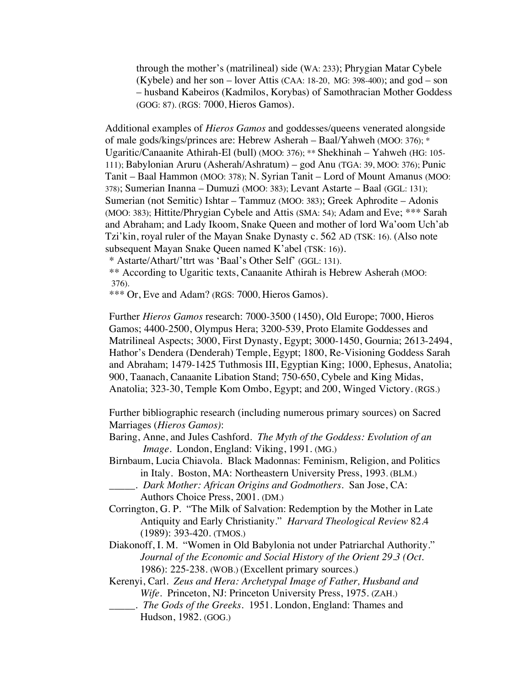through the mother's (matrilineal) side (WA: 233); Phrygian Matar Cybele (Kybele) and her son – lover Attis (CAA:  $18-20$ , MG: 398-400); and god – son – husband Kabeiros (Kadmilos, Korybas) of Samothracian Mother Goddess (GOG: 87). (RGS: 7000, Hieros Gamos).

Additional examples of *Hieros Gamos* and goddesses/queens venerated alongside of male gods/kings/princes are: Hebrew Asherah – Baal/Yahweh (MOO: 376); \* Ugaritic/Canaanite Athirah-El (bull) (MOO: 376); \*\* Shekhinah – Yahweh (HG: 105- 111); Babylonian Aruru (Asherah/Ashratum) – god Anu (TGA: 39, MOO: 376); Punic Tanit – Baal Hammon (MOO: 378); N. Syrian Tanit – Lord of Mount Amanus (MOO: 378); Sumerian Inanna – Dumuzi (MOO: 383); Levant Astarte – Baal (GGL: 131); Sumerian (not Semitic) Ishtar – Tammuz (MOO: 383); Greek Aphrodite – Adonis (MOO: 383); Hittite/Phrygian Cybele and Attis (SMA: 54); Adam and Eve; \*\*\* Sarah and Abraham; and Lady Ikoom, Snake Queen and mother of lord Wa'oom Uch'ab Tzi'kin, royal ruler of the Mayan Snake Dynasty c. 562 AD (TSK: 16). (Also note subsequent Mayan Snake Queen named K'abel (TSK: 16)).

\* Astarte/Athart/'ttrt was 'Baal's Other Self' (GGL: 131).

\*\* According to Ugaritic texts, Canaanite Athirah is Hebrew Asherah (MOO: 376).

\*\*\* Or, Eve and Adam? (RGS: 7000, Hieros Gamos).

Further *Hieros Gamos* research: 7000-3500 (1450), Old Europe; 7000, Hieros Gamos; 4400-2500, Olympus Hera; 3200-539, Proto Elamite Goddesses and Matrilineal Aspects; 3000, First Dynasty, Egypt; 3000-1450, Gournia; 2613-2494, Hathor's Dendera (Denderah) Temple, Egypt; 1800, Re-Visioning Goddess Sarah and Abraham; 1479-1425 Tuthmosis III, Egyptian King; 1000, Ephesus, Anatolia; 900, Taanach, Canaanite Libation Stand; 750-650, Cybele and King Midas, Anatolia; 323-30, Temple Kom Ombo, Egypt; and 200, Winged Victory. (RGS.)

Further bibliographic research (including numerous primary sources) on Sacred Marriages (*Hieros Gamos)*:

- Baring, Anne, and Jules Cashford. *The Myth of the Goddess: Evolution of an Image*. London, England: Viking, 1991. (MG.)
- Birnbaum, Lucia Chiavola. Black Madonnas: Feminism, Religion, and Politics in Italy. Boston, MA: Northeastern University Press, 1993. (BLM.)
- \_\_\_\_\_. *Dark Mother: African Origins and Godmothers*. San Jose, CA: Authors Choice Press, 2001. (DM.)
- Corrington, G. P. "The Milk of Salvation: Redemption by the Mother in Late Antiquity and Early Christianity." *Harvard Theological Review* 82.4 (1989): 393-420. (TMOS.)
- Diakonoff, I. M. "Women in Old Babylonia not under Patriarchal Authority." *Journal of the Economic and Social History of the Orient 29.3 (Oct.*  1986): 225-238. (WOB.) (Excellent primary sources.)
- Kerenyi, Carl. *Zeus and Hera: Archetypal Image of Father, Husband and Wife*. Princeton, NJ: Princeton University Press, 1975. (ZAH.)
	- \_\_\_\_\_. *The Gods of the Greeks*. 1951. London, England: Thames and Hudson, 1982. (GOG.)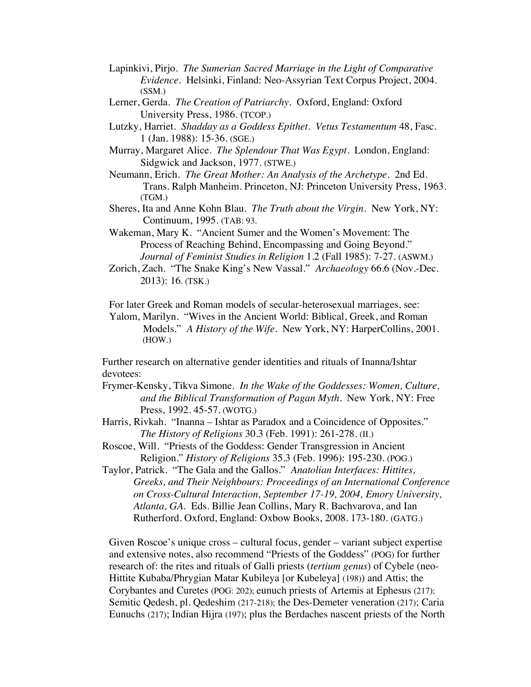- Lapinkivi, Pirjo. *The Sumerian Sacred Marriage in the Light of Comparative Evidence*. Helsinki, Finland: Neo-Assyrian Text Corpus Project, 2004. (SSM.)
- Lerner, Gerda. *The Creation of Patriarchy.* Oxford, England: Oxford University Press, 1986. (TCOP.)
- Lutzky, Harriet. *Shadday as a Goddess Epithet. Vetus Testamentum* 48, Fasc. 1 (Jan. 1988): 15-36. (SGE.)
- Murray, Margaret Alice. *The Splendour That Was Egypt*. London, England: Sidgwick and Jackson, 1977. (STWE.)
- Neumann, Erich*. The Great Mother: An Analysis of the Archetype*. 2nd Ed. Trans. Ralph Manheim. Princeton, NJ: Princeton University Press, 1963. (TGM.)
- Sheres, Ita and Anne Kohn Blau. *The Truth about the Virgin*. New York, NY: Continuum, 1995. (TAB: 93.
- Wakeman, Mary K. "Ancient Sumer and the Women's Movement: The Process of Reaching Behind, Encompassing and Going Beyond." *Journal of Feminist Studies in Religion* 1.2 (Fall 1985): 7-27. (ASWM.)
- Zorich, Zach. "The Snake King's New Vassal." *Archaeology* 66.6 (Nov.-Dec. 2013): 16. (TSK.)

For later Greek and Roman models of secular-heterosexual marriages, see:

Yalom, Marilyn. "Wives in the Ancient World: Biblical, Greek, and Roman Models." *A History of the Wife*. New York, NY: HarperCollins, 2001. (HOW.)

Further research on alternative gender identities and rituals of Inanna/Ishtar devotees:

- Frymer-Kensky, Tikva Simone. *In the Wake of the Goddesses: Women, Culture, and the Biblical Transformation of Pagan Myth*. New York, NY: Free Press, 1992. 45-57. (WOTG.)
- Harris, Rivkah. "Inanna Ishtar as Paradox and a Coincidence of Opposites." *The History of Religions* 30.3 (Feb. 1991): 261-278. (II.)
- Roscoe, Will. "Priests of the Goddess: Gender Transgression in Ancient Religion." *History of Religions* 35.3 (Feb. 1996): 195-230. (POG.)
- Taylor, Patrick. "The Gala and the Gallos." *Anatolian Interfaces: Hittites, Greeks, and Their Neighbours: Proceedings of an International Conference on Cross-Cultural Interaction, September 17-19, 2004, Emory University, Atlanta, GA.* Eds. Billie Jean Collins, Mary R. Bachvarova, and Ian Rutherford. Oxford, England: Oxbow Books, 2008. 173-180. (GATG.)

Given Roscoe's unique cross – cultural focus, gender – variant subject expertise and extensive notes, also recommend "Priests of the Goddess" (POG) for further research of: the rites and rituals of Galli priests (*tertium genus*) of Cybele (neo-Hittite Kubaba/Phrygian Matar Kubileya [or Kubeleya] (198)) and Attis; the Corybantes and Curetes (POG: 202); eunuch priests of Artemis at Ephesus (217); Semitic Qedesh, pl. Qedeshim (217-218); the Des-Demeter veneration (217); Caria Eunuchs (217); Indian Hijra (197); plus the Berdaches nascent priests of the North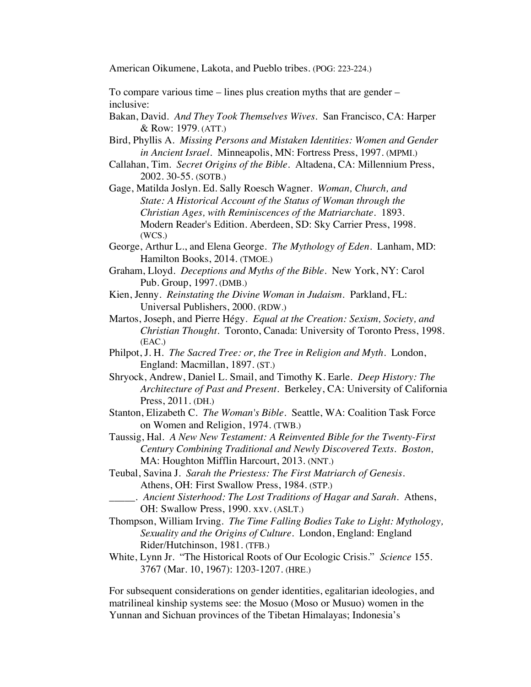American Oikumene, Lakota, and Pueblo tribes. (POG: 223-224.)

To compare various time – lines plus creation myths that are gender – inclusive:

- Bakan, David. *And They Took Themselves Wives*. San Francisco, CA: Harper & Row: 1979. (ATT.)
- Bird, Phyllis A. *Missing Persons and Mistaken Identities: Women and Gender in Ancient Israel.* Minneapolis, MN: Fortress Press, 1997. (MPMI.)
- Callahan, Tim. *Secret Origins of the Bible.* Altadena, CA: Millennium Press, 2002. 30-55. (SOTB.)
- Gage, Matilda Joslyn. Ed. Sally Roesch Wagner. *Woman, Church, and State: A Historical Account of the Status of Woman through the Christian Ages, with Reminiscences of the Matriarchate*. 1893. Modern Reader's Edition. Aberdeen, SD: Sky Carrier Press, 1998. (WCS.)
- George, Arthur L., and Elena George. *The Mythology of Eden*. Lanham, MD: Hamilton Books, 2014. (TMOE.)
- Graham, Lloyd. *Deceptions and Myths of the Bible*. New York, NY: Carol Pub. Group, 1997. (DMB.)
- Kien, Jenny. *Reinstating the Divine Woman in Judaism.* Parkland, FL: Universal Publishers, 2000. (RDW.)
- Martos, Joseph, and Pierre Hégy. *Equal at the Creation: Sexism, Society, and Christian Thought*. Toronto, Canada: University of Toronto Press, 1998. (EAC.)
- Philpot, J. H. *The Sacred Tree: or, the Tree in Religion and Myth*. London, England: Macmillan, 1897. (ST.)
- Shryock, Andrew, Daniel L. Smail, and Timothy K. Earle. *Deep History: The Architecture of Past and Present*. Berkeley, CA: University of California Press, 2011. (DH.)
- Stanton, Elizabeth C. *The Woman's Bible*. Seattle, WA: Coalition Task Force on Women and Religion, 1974. (TWB.)
- Taussig, Hal. *A New New Testament: A Reinvented Bible for the Twenty-First Century Combining Traditional and Newly Discovered Texts. Boston,*  MA: Houghton Mifflin Harcourt, 2013. (NNT.)
- Teubal, Savina J. *Sarah the Priestess: The First Matriarch of Genesis*. Athens, OH: First Swallow Press, 1984. (STP.)
	- \_\_\_\_\_. *Ancient Sisterhood: The Lost Traditions of Hagar and Sarah*. Athens, OH: Swallow Press, 1990. xxv. (ASLT.)
- Thompson, William Irving. *The Time Falling Bodies Take to Light: Mythology, Sexuality and the Origins of Culture.* London, England: England Rider/Hutchinson, 1981. (TFB.)
- White, Lynn Jr. "The Historical Roots of Our Ecologic Crisis." *Science* 155. 3767 (Mar. 10, 1967): 1203-1207. (HRE.)

For subsequent considerations on gender identities, egalitarian ideologies, and matrilineal kinship systems see: the Mosuo (Moso or Musuo) women in the Yunnan and Sichuan provinces of the Tibetan Himalayas; Indonesia's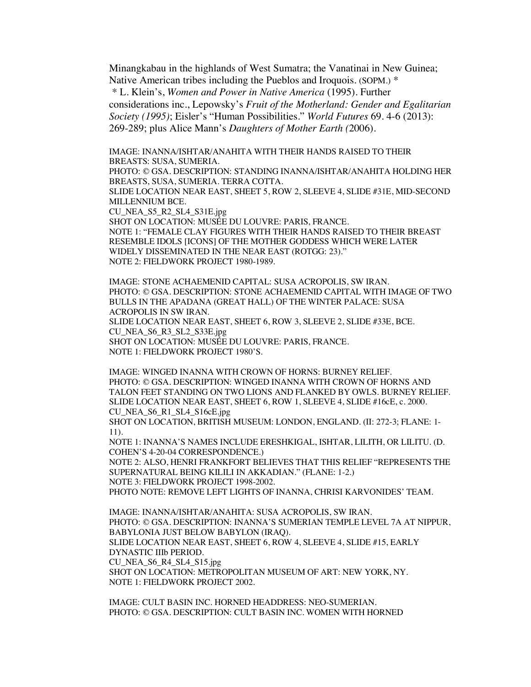Minangkabau in the highlands of West Sumatra; the Vanatinai in New Guinea; Native American tribes including the Pueblos and Iroquois. (SOPM.) \*

*\** L. Klein's, *Women and Power in Native America* (1995). Further considerations inc., Lepowsky's *Fruit of the Motherland: Gender and Egalitarian Society (1995)*; Eisler's "Human Possibilities." *World Futures* 69. 4-6 (2013): 269-289; plus Alice Mann's *Daughters of Mother Earth (*2006).

IMAGE: INANNA/ISHTAR/ANAHITA WITH THEIR HANDS RAISED TO THEIR BREASTS: SUSA, SUMERIA.

PHOTO: © GSA. DESCRIPTION: STANDING INANNA/ISHTAR/ANAHITA HOLDING HER BREASTS, SUSA, SUMERIA. TERRA COTTA.

SLIDE LOCATION NEAR EAST, SHEET 5, ROW 2, SLEEVE 4, SLIDE #31E, MID-SECOND MILLENNIUM BCE.

CU\_NEA\_S5\_R2\_SL4\_S31E.jpg

SHOT ON LOCATION: MUSÉE DU LOUVRE: PARIS, FRANCE. NOTE 1: "FEMALE CLAY FIGURES WITH THEIR HANDS RAISED TO THEIR BREAST RESEMBLE IDOLS [ICONS] OF THE MOTHER GODDESS WHICH WERE LATER WIDELY DISSEMINATED IN THE NEAR EAST (ROTGG: 23)." NOTE 2: FIELDWORK PROJECT 1980-1989.

IMAGE: STONE ACHAEMENID CAPITAL: SUSA ACROPOLIS, SW IRAN. PHOTO: © GSA. DESCRIPTION: STONE ACHAEMENID CAPITAL WITH IMAGE OF TWO BULLS IN THE APADANA (GREAT HALL) OF THE WINTER PALACE: SUSA ACROPOLIS IN SW IRAN. SLIDE LOCATION NEAR EAST, SHEET 6, ROW 3, SLEEVE 2, SLIDE #33E, BCE. CU\_NEA\_S6\_R3\_SL2\_S33E.jpg SHOT ON LOCATION: MUSÉE DU LOUVRE: PARIS, FRANCE.

NOTE 1: FIELDWORK PROJECT 1980'S.

IMAGE: WINGED INANNA WITH CROWN OF HORNS: BURNEY RELIEF. PHOTO: © GSA. DESCRIPTION: WINGED INANNA WITH CROWN OF HORNS AND TALON FEET STANDING ON TWO LIONS AND FLANKED BY OWLS. BURNEY RELIEF. SLIDE LOCATION NEAR EAST, SHEET 6, ROW 1, SLEEVE 4, SLIDE #16cE, c. 2000. CU\_NEA\_S6\_R1\_SL4\_S16cE.jpg

SHOT ON LOCATION, BRITISH MUSEUM: LONDON, ENGLAND. (II: 272-3; FLANE: 1- 11).

NOTE 1: INANNA'S NAMES INCLUDE ERESHKIGAL, ISHTAR, LILITH, OR LILITU. (D. COHEN'S 4-20-04 CORRESPONDENCE.)

NOTE 2: ALSO, HENRI FRANKFORT BELIEVES THAT THIS RELIEF "REPRESENTS THE SUPERNATURAL BEING KILILI IN AKKADIAN." (FLANE: 1-2.) NOTE 3: FIELDWORK PROJECT 1998-2002. PHOTO NOTE: REMOVE LEFT LIGHTS OF INANNA, CHRISI KARVONIDES' TEAM.

IMAGE: INANNA/ISHTAR/ANAHITA: SUSA ACROPOLIS, SW IRAN. PHOTO: © GSA. DESCRIPTION: INANNA'S SUMERIAN TEMPLE LEVEL 7A AT NIPPUR, BABYLONIA JUST BELOW BABYLON (IRAQ). SLIDE LOCATION NEAR EAST, SHEET 6, ROW 4, SLEEVE 4, SLIDE #15, EARLY DYNASTIC IIIb PERIOD. CU\_NEA\_S6\_R4\_SL4\_S15.jpg SHOT ON LOCATION: METROPOLITAN MUSEUM OF ART: NEW YORK, NY. NOTE 1: FIELDWORK PROJECT 2002.

IMAGE: CULT BASIN INC. HORNED HEADDRESS: NEO-SUMERIAN. PHOTO: © GSA. DESCRIPTION: CULT BASIN INC. WOMEN WITH HORNED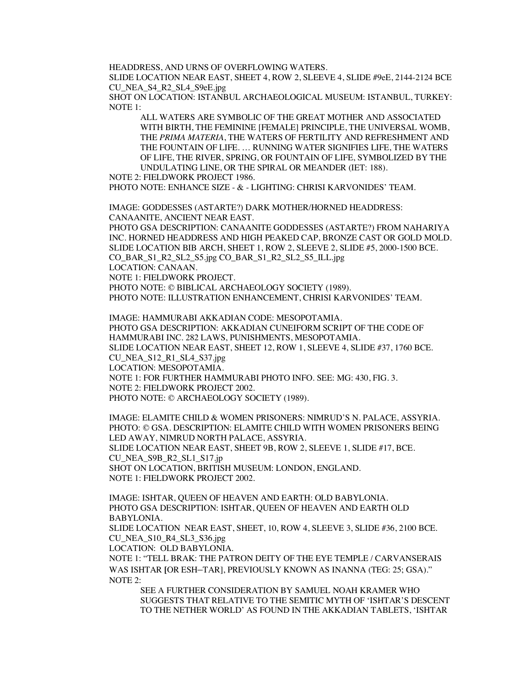HEADDRESS, AND URNS OF OVERFLOWING WATERS.

SLIDE LOCATION NEAR EAST, SHEET 4, ROW 2, SLEEVE 4, SLIDE #9eE, 2144-2124 BCE CU\_NEA\_S4\_R2\_SL4\_S9eE.jpg

SHOT ON LOCATION: ISTANBUL ARCHAEOLOGICAL MUSEUM: ISTANBUL, TURKEY: NOTE 1:

ALL WATERS ARE SYMBOLIC OF THE GREAT MOTHER AND ASSOCIATED WITH BIRTH, THE FEMININE [FEMALE] PRINCIPLE, THE UNIVERSAL WOMB, THE *PRIMA MATERIA*, THE WATERS OF FERTILITY AND REFRESHMENT AND THE FOUNTAIN OF LIFE. … RUNNING WATER SIGNIFIES LIFE, THE WATERS OF LIFE, THE RIVER, SPRING, OR FOUNTAIN OF LIFE, SYMBOLIZED BY THE UNDULATING LINE, OR THE SPIRAL OR MEANDER (IET: 188).

NOTE 2: FIELDWORK PROJECT 1986.

PHOTO NOTE: ENHANCE SIZE - & - LIGHTING: CHRISI KARVONIDES' TEAM.

IMAGE: GODDESSES (ASTARTE?) DARK MOTHER/HORNED HEADDRESS: CANAANITE, ANCIENT NEAR EAST.

PHOTO GSA DESCRIPTION: CANAANITE GODDESSES (ASTARTE?) FROM NAHARIYA INC. HORNED HEADDRESS AND HIGH PEAKED CAP, BRONZE CAST OR GOLD MOLD. SLIDE LOCATION BIB ARCH, SHEET 1, ROW 2, SLEEVE 2, SLIDE #5, 2000-1500 BCE. CO\_BAR\_S1\_R2\_SL2\_S5.jpg CO\_BAR\_S1\_R2\_SL2\_S5\_ILL.jpg

LOCATION: CANAAN.

NOTE 1: FIELDWORK PROJECT.

PHOTO NOTE: © BIBLICAL ARCHAEOLOGY SOCIETY (1989).

PHOTO NOTE: ILLUSTRATION ENHANCEMENT, CHRISI KARVONIDES' TEAM.

IMAGE: HAMMURABI AKKADIAN CODE: MESOPOTAMIA. PHOTO GSA DESCRIPTION: AKKADIAN CUNEIFORM SCRIPT OF THE CODE OF HAMMURABI INC. 282 LAWS, PUNISHMENTS, MESOPOTAMIA. SLIDE LOCATION NEAR EAST, SHEET 12, ROW 1, SLEEVE 4, SLIDE #37, 1760 BCE. CU\_NEA\_S12\_R1\_SL4\_S37.jpg LOCATION: MESOPOTAMIA. NOTE 1: FOR FURTHER HAMMURABI PHOTO INFO. SEE: MG: 430, FIG. 3. NOTE 2: FIELDWORK PROJECT 2002. PHOTO NOTE: © ARCHAEOLOGY SOCIETY (1989).

IMAGE: ELAMITE CHILD & WOMEN PRISONERS: NIMRUD'S N. PALACE, ASSYRIA. PHOTO: © GSA. DESCRIPTION: ELAMITE CHILD WITH WOMEN PRISONERS BEING LED AWAY, NIMRUD NORTH PALACE, ASSYRIA. SLIDE LOCATION NEAR EAST, SHEET 9B, ROW 2, SLEEVE 1, SLIDE #17, BCE. CU\_NEA\_S9B\_R2\_SL1\_S17.jp SHOT ON LOCATION, BRITISH MUSEUM: LONDON, ENGLAND. NOTE 1: FIELDWORK PROJECT 2002.

IMAGE: ISHTAR, QUEEN OF HEAVEN AND EARTH: OLD BABYLONIA. PHOTO GSA DESCRIPTION: ISHTAR, QUEEN OF HEAVEN AND EARTH OLD BABYLONIA.

SLIDE LOCATION NEAR EAST, SHEET, 10, ROW 4, SLEEVE 3, SLIDE #36, 2100 BCE. CU\_NEA\_S10\_R4\_SL3\_S36.jpg

LOCATION: OLD BABYLONIA.

NOTE 1: "TELL BRAK: THE PATRON DEITY OF THE EYE TEMPLE / CARVANSERAIS WAS ISHTAR **[**OR ESH–TAR], PREVIOUSLY KNOWN AS INANNA (TEG: 25; GSA)." NOTE  $2$ :

SEE A FURTHER CONSIDERATION BY SAMUEL NOAH KRAMER WHO SUGGESTS THAT RELATIVE TO THE SEMITIC MYTH OF 'ISHTAR'S DESCENT TO THE NETHER WORLD' AS FOUND IN THE AKKADIAN TABLETS, 'ISHTAR